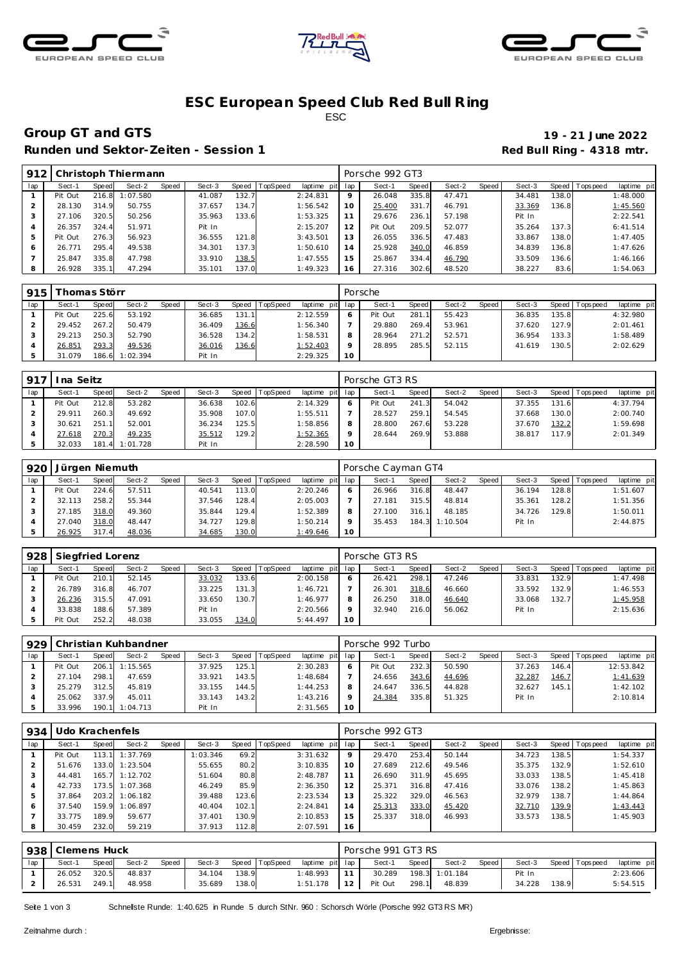





### **ESC European Speed C lub Red Bull R ing** ESC

# **Group GT and GTS 19 - 21 June 2022**

Runden und Sektor-Zeiten - Session 1 **Runden und Sektor-Zeiten - Session 1 Red Bull Ring - 4318 mtr.** 

| 912 |         |       | Christoph Thiermann |       |        |       |          |             |         | Porsche 992 GT3 |       |        |       |        |       |           |             |
|-----|---------|-------|---------------------|-------|--------|-------|----------|-------------|---------|-----------------|-------|--------|-------|--------|-------|-----------|-------------|
| lap | Sect-1  | Speed | Sect-2              | Speed | Sect-3 | Speed | TopSpeed | laptime pit | lap     | Sect-1          | Speed | Sect-2 | Speed | Sect-3 | Speed | Tops peed | laptime pit |
|     | Pit Out | 216.8 | 1:07.580            |       | 41.087 | 132.7 |          | 2:24.831    | $\circ$ | 26.048          | 335.8 | 47.471 |       | 34.481 | 138.0 |           | 1:48.000    |
|     | 28.130  | 314.9 | 50.755              |       | 37.657 | 134.7 |          | 1:56.542    | 10      | 25.400          | 331.7 | 46.791 |       | 33.369 | 136.8 |           | 1:45.560    |
|     | 27.106  | 320.5 | 50.256              |       | 35.963 | 133.6 |          | 1:53.325    |         | 29.676          | 236.1 | 57.198 |       | Pit In |       |           | 2:22.541    |
| 4   | 26.357  | 324.4 | 51.971              |       | Pit In |       |          | 2:15.207    | 12      | Pit Out         | 209.5 | 52.077 |       | 35.264 | 137.3 |           | 6: 41.514   |
| 5   | Pit Out | 276.3 | 56.923              |       | 36.555 | 121.8 |          | 3:43.501    | 13      | 26.055          | 336.5 | 47.483 |       | 33.867 | 138.0 |           | 1:47.405    |
|     | 26.771  | 295.4 | 49.538              |       | 34.301 | 137.3 |          | 1:50.610    | 14      | 25.928          | 340.0 | 46.859 |       | 34.839 | 136.8 |           | 1:47.626    |
|     | 25.847  | 335.8 | 47.798              |       | 33.910 | 138.5 |          | 1:47.555    | 15      | 25.867          | 334.4 | 46.790 |       | 33.509 | 136.6 |           | 1:46.166    |
| 8   | 26.928  | 335.1 | 47.294              |       | 35.101 | 137.0 |          | 1:49.323    | 16      | 27.316          | 302.6 | 48.520 |       | 38.227 | 83.6  |           | 1:54.063    |

| 915 |         | -homas Störr |                |       |        |       |                |             |     | Porsche |       |        |       |        |       |                   |             |
|-----|---------|--------------|----------------|-------|--------|-------|----------------|-------------|-----|---------|-------|--------|-------|--------|-------|-------------------|-------------|
| lap | Sect-1  | Speed        | Sect-2         | Speed | Sect-3 |       | Speed TopSpeed | laptime pit | lap | Sect-1  | Speed | Sect-2 | Speed | Sect-3 |       | Speed   Tops peed | laptime pit |
|     | Pit Out | 225.6        | 53.192         |       | 36.685 | 131.1 |                | 2:12.559    | 6   | Pit Out | 281.1 | 55.423 |       | 36.835 | 135.8 |                   | 4:32.980    |
|     | 29.452  | 267.2        | 50.479         |       | 36.409 | 136.6 |                | 1:56.340    |     | 29.880  | 269.4 | 53.961 |       | 37.620 | 127.9 |                   | 2:01.461    |
|     | 29.213  | 250.3        | 52.790         |       | 36.528 | 134.2 |                | 1:58.531    | 8   | 28.964  | 271.2 | 52.571 |       | 36.954 | 133.3 |                   | 1:58.489    |
|     | 26.851  | 293.3        | 49.536         |       | 36.016 | 136.6 |                | 1:52.403    | Q   | 28.895  | 285.5 | 52.115 |       | 41.619 | 130.5 |                   | 2:02.629    |
|     | 31.079  |              | 186.6 1:02.394 |       | Pit In |       |                | 2:29.325    | 10  |         |       |        |       |        |       |                   |             |

| $-917$ | I na Seitz |       |                |       |        |       |                  |                 |    | Porsche GT3 RS |       |        |       |        |       |                 |             |
|--------|------------|-------|----------------|-------|--------|-------|------------------|-----------------|----|----------------|-------|--------|-------|--------|-------|-----------------|-------------|
| lap    | Sect-1     | Speed | Sect-2         | Speed | Sect-3 |       | Speed   TopSpeed | laptime pit lap |    | Sect-1         | Speed | Sect-2 | Speed | Sect-3 |       | Speed Tops peed | laptime pit |
|        | Pit Out    | 212.8 | 53.282         |       | 36.638 | 102.6 |                  | 2:14.329        |    | Pit Out        | 241.3 | 54.042 |       | 37.355 | 131.6 |                 | 4:37.794    |
|        | 29.911     | 260.3 | 49.692         |       | 35.908 | 107.0 |                  | 1:55.511        |    | 28.527         | 259.1 | 54.545 |       | 37.668 | 130.0 |                 | 2:00.740    |
|        | 30.621     | 251.1 | 52.001         |       | 36.234 | 125.5 |                  | 1:58.856        |    | 28,800         | 267.6 | 53.228 |       | 37.670 | 132.2 |                 | 1:59.698    |
|        | 27.618     | 270.3 | 49.235         |       | 35.512 | 129.2 |                  | <u>1:52.365</u> |    | 28.644         | 269.9 | 53.888 |       | 38.817 | 117.9 |                 | 2:01.349    |
|        | 32.033     |       | 181.4 1:01.728 |       | Pit In |       |                  | 2:28.590        | 10 |                |       |        |       |        |       |                 |             |

| 920 | Jürgen Niemuth |       |        |       |        |         |                 |                 |    | Porsche Cayman GT4 |       |                |       |        |       |                 |             |
|-----|----------------|-------|--------|-------|--------|---------|-----------------|-----------------|----|--------------------|-------|----------------|-------|--------|-------|-----------------|-------------|
| lap | Sect-1         | Speed | Sect-2 | Speed | Sect-3 | Speed T | <b>TopSpeed</b> | laptime pit lap |    | Sect-1             | Speed | Sect-2         | Speed | Sect-3 |       | Speed Tops peed | laptime pit |
|     | Pit Out        | 224.6 | 57.511 |       | 40.541 | 113.0   |                 | 2:20.246        |    | 26.966             | 316.8 | 48.447         |       | 36.194 | 128.8 |                 | 1:51.607    |
|     | 32.113         | 258.2 | 55.344 |       | 37.546 | 128.4   |                 | 2:05.003        |    | 27.181             | 315.5 | 48.814         |       | 35.361 | 128.2 |                 | 1:51.356    |
|     | 27.185         | 318.0 | 49.360 |       | 35.844 | 129.4   |                 | 1:52.389        |    | 27.100             | 316.1 | 48.185         |       | 34.726 | 129.8 |                 | 1:50.011    |
|     | 27.040         | 318.0 | 48.447 |       | 34.727 | 129.8   |                 | 1:50.214        |    | 35.453             |       | 184.3 1:10.504 |       | Pit In |       |                 | 2:44.875    |
|     | 26.925         | 317.4 | 48.036 |       | 34.685 | 130.0   |                 | <u>1:49.646</u> | 10 |                    |       |                |       |        |       |                 |             |

| 928 | Siegfried Lorenz |       |        |       |        |       |          |                 |    | Porsche GT3 RS |              |        |       |        |       |                   |             |
|-----|------------------|-------|--------|-------|--------|-------|----------|-----------------|----|----------------|--------------|--------|-------|--------|-------|-------------------|-------------|
| lap | Sect-1           | Speed | Sect-2 | Speed | Sect-3 | Speed | TopSpeed | laptime pit lap |    | Sect-1         | <b>Speed</b> | Sect-2 | Speed | Sect-3 |       | Speed   Tops peed | laptime pit |
|     | Pit Out          | 210.1 | 52.145 |       | 33.032 | 133.6 |          | 2:00.158        |    | 26.421         | 298.         | 47.246 |       | 33.831 | 132.9 |                   | 1:47.498    |
|     | 26.789           | 316.8 | 46.707 |       | 33.225 | 131.3 |          | 1:46.721        |    | 26.301         | 318.6        | 46.660 |       | 33.592 | 132.9 |                   | 1:46.553    |
|     | 26.236           | 315.5 | 47.091 |       | 33.650 | 130.7 |          | 1:46.977        | 8  | 26.250         | 318.0        | 46.640 |       | 33.068 | 132.7 |                   | 1:45.958    |
|     | 33.838           | 188.6 | 57.389 |       | Pit In |       |          | 2:20.566        |    | 32.940         | 216.0        | 56.062 |       | Pit In |       |                   | 2:15.636    |
|     | Pit Out          | 252.2 | 48.038 |       | 33.055 | 134.0 |          | 5:44.497        | 10 |                |              |        |       |        |       |                   |             |

|     | 929   Christian Kuhbandner |       |                |       |        |       |                 |                 |    | Porsche 992 Turbo |       |        |       |        |       |                 |             |
|-----|----------------------------|-------|----------------|-------|--------|-------|-----------------|-----------------|----|-------------------|-------|--------|-------|--------|-------|-----------------|-------------|
| lap | Sect-1                     | Speed | Sect-2         | Speed | Sect-3 | Speed | <b>TopSpeed</b> | laptime pit lap |    | Sect-1            | Speed | Sect-2 | Speed | Sect-3 |       | Speed Tops peed | laptime pit |
|     | Pit Out                    |       | 206.1 1:15.565 |       | 37.925 | 125.1 |                 | 2:30.283        | 6  | Pit Out           | 232.3 | 50.590 |       | 37.263 | 146.4 |                 | 12:53.842   |
|     | 27.104                     | 298.1 | 47.659         |       | 33.921 | 143.5 |                 | 1:48.684        |    | 24.656            | 343.6 | 44.696 |       | 32.287 | 146.7 |                 | 1:41.639    |
|     | 25.279                     | 312.5 | 45.819         |       | 33.155 | 144.5 |                 | 1:44.253        | 8  | 24.647            | 336.5 | 44.828 |       | 32.627 | 145.1 |                 | 1:42.102    |
|     | 25.062                     | 337.9 | 45.011         |       | 33.143 | 143.2 |                 | 1:43.216        |    | 24.384            | 335.8 | 51.325 |       | Pit In |       |                 | 2:10.814    |
|     | 33.996                     |       | 190.1 1:04.713 |       | Pit In |       |                 | 2:31.565        | 10 |                   |       |        |       |        |       |                 |             |

| 934 | Udo Krachenfels |       |                |       |          |       |          |             |     | Porsche 992 GT3 |       |        |       |        |       |                  |             |
|-----|-----------------|-------|----------------|-------|----------|-------|----------|-------------|-----|-----------------|-------|--------|-------|--------|-------|------------------|-------------|
| lap | Sect-1          | Speed | Sect-2         | Speed | Sect-3   | Speed | TopSpeed | laptime pit | lap | Sect-1          | Speed | Sect-2 | Speed | Sect-3 | Speed | <b>Tops peed</b> | laptime pit |
|     | Pit Out         | 113.1 | 1:37.769       |       | 1:03.346 | 69.2  |          | 3:31.632    | 9   | 29.470          | 253.4 | 50.144 |       | 34.723 | 138.5 |                  | 1:54.337    |
|     | 51.676          | 133.0 | 1:23.504       |       | 55.655   | 80.2  |          | 3:10.835    | 10  | 27.689          | 212.6 | 49.546 |       | 35.375 | 132.9 |                  | 1:52.610    |
|     | 44.481          |       | 165.7 1:12.702 |       | 51.604   | 80.8  |          | 2:48.787    |     | 26.690          | 311.9 | 45.695 |       | 33.033 | 138.5 |                  | 1:45.418    |
| 4   | 42.733          |       | 173.5 1:07.368 |       | 46.249   | 85.9  |          | 2:36.350    | 12  | 25.371          | 316.8 | 47.416 |       | 33.076 | 138.2 |                  | 1:45.863    |
| 5   | 37.864          |       | 203.2 1:06.182 |       | 39.488   | 123.6 |          | 2:23.534    | 13  | 25.322          | 329.0 | 46.563 |       | 32.979 | 138.7 |                  | 1:44.864    |
| 6   | 37.540          | 159.9 | 1:06.897       |       | 40.404   | 102.1 |          | 2:24.841    | 14  | 25.313          | 333.0 | 45.420 |       | 32.710 | 139.9 |                  | 1:43.443    |
|     | 33.775          | 189.9 | 59.677         |       | 37.401   | 130.9 |          | 2:10.853    | 15  | 25.337          | 318.0 | 46.993 |       | 33.573 | 138.5 |                  | 1:45.903    |
|     | 30.459          | 232.0 | 59.219         |       | 37.913   | 112.8 |          | 2:07.591    | 16  |                 |       |        |       |        |       |                  |             |

|                 | 938 Clemens Huck |       |        |       |        |       |                |                         |             | Porsche 991 GT3 RS |       |                |         |        |       |                   |             |
|-----------------|------------------|-------|--------|-------|--------|-------|----------------|-------------------------|-------------|--------------------|-------|----------------|---------|--------|-------|-------------------|-------------|
| 1a <sub>D</sub> | Sect-1           | Speed | Sect-2 | Speed | Sect-3 |       | Speed TopSpeed | laptime pit lap         |             | Sect-1             | Speed | Sect-2         | Speed I | Sect-3 |       | Speed   Tops peed | laptime pit |
|                 | 26.052           | 320.5 | 48.837 |       | 34.104 | 138.9 |                | 1:48.993                | $\sqrt{11}$ | 30.289             |       | 198.3 1:01.184 |         | Pit In |       |                   | 2:23.606    |
|                 | 26.531           | 249.1 | 48.958 |       | 35.689 | 138.0 |                | 1:51.178   12   Pit Out |             |                    | 298.1 | 48.839         |         | 34.228 | 138.9 |                   | 5:54.515    |

Seite 1 von 3 Schnelste Runde: 1:40.625 in Runde 5 durch StNr. 960 : Schorsch Wörle (Porsche 992 GT3 RS MR)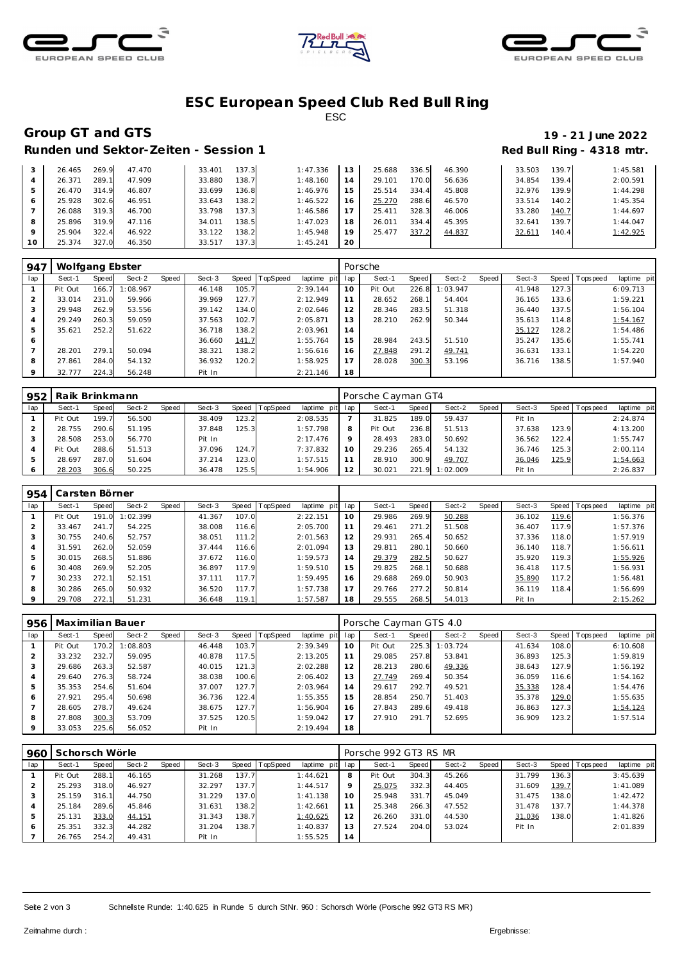





### **ESC European Speed C lub Red Bull R ing** ESC

# **Group GT and GTS 19 - 21 June 2022**

# Runden und Sektor-Zeiten - Session 1 *Runden und Sektor-Zeiten - Session 1* **Red Bull Ring - 4318 mtr.**

|         |        |       |        |        |       |          |                 |        |       |        |        |       | ີ        |
|---------|--------|-------|--------|--------|-------|----------|-----------------|--------|-------|--------|--------|-------|----------|
| 3       | 26.465 | 269.9 | 47.470 | 33.401 | 137.3 | 1:47.336 | 13 <sup>1</sup> | 25.688 | 336.5 | 46.390 | 33.503 | 139.7 | 1:45.581 |
|         | 26.371 | 289.1 | 47.909 | 33.880 | 138.7 | 1:48.160 | 4               | 29.101 | 170.0 | 56.636 | 34.854 | 139.4 | 2:00.591 |
| 5       | 26.470 | 314.9 | 46.807 | 33.699 | 136.8 | 1:46.976 | i 5.            | 25.514 | 334.4 | 45.808 | 32.976 | 139.9 | 1:44.298 |
| 6       | 25.928 | 302.6 | 46.951 | 33.643 | 138.2 | 1:46.522 | 6               | 25.270 | 288.6 | 46.570 | 33.514 | 140.2 | 1:45.354 |
|         | 26.088 | 319.3 | 46.700 | 33.798 | 137.3 | 1:46.586 |                 | 25.411 | 328.3 | 46.006 | 33.280 | 140.7 | 1:44.697 |
| 8       | 25.896 | 319.9 | 47.116 | 34.011 | 138.5 | 1:47.023 | 18              | 26.01' | 334.4 | 45.395 | 32.641 | 139.7 | 1:44.047 |
| $\circ$ | 25.904 | 322.4 | 46.922 | 33.122 | 138.2 | 1:45.948 | 19              | 25.477 | 337.2 | 44.837 | 32.611 | 140.4 | 1:42.925 |
| 10      | 25.374 | 327.0 | 46.350 | 33.517 | 137.3 | 1:45.241 | 20              |        |       |        |        |       |          |

| 947 | Wolfgang Ebster |       |          |       |        |       |          |                 |    | Porsche |       |          |       |        |       |                 |             |
|-----|-----------------|-------|----------|-------|--------|-------|----------|-----------------|----|---------|-------|----------|-------|--------|-------|-----------------|-------------|
| lap | Sect-1          | Speed | Sect-2   | Speed | Sect-3 | Speed | TopSpeed | laptime pit lap |    | Sect-1  | Speed | Sect-2   | Speed | Sect-3 |       | Speed Tops peed | laptime pit |
|     | Pit Out         | 166.7 | 1:08.967 |       | 46.148 | 105.7 |          | 2:39.144        | 10 | Pit Out | 226.8 | 1:03.947 |       | 41.948 | 127.3 |                 | 6:09.713    |
|     | 33.014          | 231.0 | 59.966   |       | 39.969 | 127.7 |          | 2:12.949        | 11 | 28.652  | 268.1 | 54.404   |       | 36.165 | 133.6 |                 | 1:59.221    |
| 3   | 29.948          | 262.9 | 53.556   |       | 39.142 | 134.0 |          | 2:02.646        | 12 | 28.346  | 283.5 | 51.318   |       | 36.440 | 137.5 |                 | 1:56.104    |
| 4   | 29.249          | 260.3 | 59.059   |       | 37.563 | 102.7 |          | 2:05.871        | 13 | 28.210  | 262.9 | 50.344   |       | 35.613 | 114.8 |                 | 1:54.167    |
| 5   | 35.621          | 252.2 | 51.622   |       | 36.718 | 138.2 |          | 2:03.961        | 14 |         |       |          |       | 35.127 | 128.2 |                 | 1:54.486    |
| 6   |                 |       |          |       | 36.660 | 141.7 |          | 1:55.764        | 15 | 28.984  | 243.5 | 51.510   |       | 35.247 | 135.6 |                 | 1:55.741    |
|     | 28.201          | 279.1 | 50.094   |       | 38.321 | 138.2 |          | 1:56.616        | 16 | 27.848  | 291.2 | 49.741   |       | 36.631 | 133.1 |                 | 1:54.220    |
| 8   | 27.861          | 284.0 | 54.132   |       | 36.932 | 120.2 |          | 1:58.925        | 17 | 28.028  | 300.3 | 53.196   |       | 36.716 | 138.5 |                 | 1:57.940    |
| 9   | 32.777          | 224.3 | 56.248   |       | Pit In |       |          | 2:21.146        | 18 |         |       |          |       |        |       |                 |             |

| 952 | Raik Brinkmann |       |        |       |        |       |          |             |     | Porsche Cayman GT4 |       |          |       |        |         |            |             |
|-----|----------------|-------|--------|-------|--------|-------|----------|-------------|-----|--------------------|-------|----------|-------|--------|---------|------------|-------------|
| lap | Sect-1         | Speed | Sect-2 | Speed | Sect-3 | Speed | TopSpeed | laptime pit | lap | Sect-1             | Speed | Sect-2   | Speed | Sect-3 | Speed I | T ops peed | laptime pit |
|     | Pit Out        | 199.7 | 56.500 |       | 38.409 | 123.2 |          | 2:08.535    |     | 31.825             | 189.0 | 59.437   |       | Pit In |         |            | 2:24.874    |
|     | 28.755         | 290.6 | 51.195 |       | 37.848 | 125.3 |          | 1:57.798    | 8   | Pit Out            | 236.8 | 51.513   |       | 37.638 | 123.9   |            | 4:13.200    |
|     | 28.508         | 253.0 | 56.770 |       | Pit In |       |          | 2:17.476    |     | 28.493             | 283.0 | 50.692   |       | 36.562 | 122.4   |            | 1:55.747    |
|     | Pit Out        | 288.6 | 51.513 |       | 37.096 | 124.7 |          | 7:37.832    | 10  | 29.236             | 265.4 | 54.132   |       | 36.746 | 125.3   |            | 2:00.114    |
|     | 28.697         | 287.0 | 51.604 |       | 37.214 | 123.0 |          | 1:57.515    |     | 28.910             | 300.9 | 49.707   |       | 36.046 | 125.9   |            | 1:54.663    |
|     | 28.203         | 306.6 | 50.225 |       | 36.478 | 125.5 |          | 1:54.906    | 12  | 30.021             | 221.9 | 1:02.009 |       | Pit In |         |            | 2:26.837    |

| 954 | Carsten Börner |       |          |       |        |       |          |                 |    |        |       |        |       |        |       |                |                |
|-----|----------------|-------|----------|-------|--------|-------|----------|-----------------|----|--------|-------|--------|-------|--------|-------|----------------|----------------|
| lap | Sect-1         | Speed | Sect-2   | Speed | Sect-3 | Speed | TopSpeed | laptime pit lap |    | Sect-1 | Speed | Sect-2 | Speed | Sect-3 |       | Speed Topspeed | laptime<br>pit |
|     | Pit Out        | 191.0 | 1:02.399 |       | 41.367 | 107.0 |          | 2:22.151        | 10 | 29.986 | 269.9 | 50.288 |       | 36.102 | 119.6 |                | 1:56.376       |
|     | 33.467         | 241.7 | 54.225   |       | 38.008 | 116.6 |          | 2:05.700        | 11 | 29.461 | 271.2 | 51.508 |       | 36.407 | 117.9 |                | 1:57.376       |
|     | 30.755         | 240.6 | 52.757   |       | 38.051 | 111.2 |          | 2:01.563        | 12 | 29.931 | 265.4 | 50.652 |       | 37.336 | 118.0 |                | 1:57.919       |
| 4   | 31.591         | 262.0 | 52.059   |       | 37.444 | 116.6 |          | 2:01.094        | 13 | 29.811 | 280.1 | 50.660 |       | 36.140 | 118.7 |                | 1:56.611       |
| 5   | 30.015         | 268.5 | 51.886   |       | 37.672 | 116.0 |          | 1:59.573        | 14 | 29.379 | 282.5 | 50.627 |       | 35.920 | 119.3 |                | 1:55.926       |
| 6   | 30.408         | 269.9 | 52.205   |       | 36.897 | 117.9 |          | 1:59.510        | 15 | 29.825 | 268.1 | 50.688 |       | 36.418 | 117.5 |                | 1:56.931       |
|     | 30.233         | 272.1 | 52.151   |       | 37.111 | 117.7 |          | 1:59.495        | 16 | 29.688 | 269.0 | 50.903 |       | 35.890 | 117.2 |                | 1:56.481       |
| 8   | 30.286         | 265.0 | 50.932   |       | 36.520 | 117.7 |          | 1:57.738        | 17 | 29.766 | 277.2 | 50.814 |       | 36.119 | 118.4 |                | 1:56.699       |
| 9   | 29.708         | 272.1 | 51.231   |       | 36.648 | 119.1 |          | 1:57.587        | 18 | 29.555 | 268.5 | 54.013 |       | Pit In |       |                | 2:15.262       |

| 956            | Maximilian Bauer |       |          |       |        |       |          |                |     | Porsche Cayman GTS 4.0 |       |          |       |        |       |            |             |  |  |
|----------------|------------------|-------|----------|-------|--------|-------|----------|----------------|-----|------------------------|-------|----------|-------|--------|-------|------------|-------------|--|--|
| lap            | Sect-1           | Speed | Sect-2   | Speed | Sect-3 | Speed | TopSpeed | laptime<br>pit | lap | Sect-1                 | Speed | Sect-2   | Speed | Sect-3 | Speed | T ops peed | laptime pit |  |  |
|                | Pit Out          | 170.2 | 1:08.803 |       | 46.448 | 103.7 |          | 2:39.349       | 10  | Pit Out                | 225.3 | 1:03.724 |       | 41.634 | 108.0 |            | 6:10.608    |  |  |
|                | 33.232           | 232.7 | 59.095   |       | 40.878 | 117.5 |          | 2:13.205       | 11  | 29.085                 | 257.8 | 53.841   |       | 36.893 | 125.3 |            | 1:59.819    |  |  |
| 3              | 29.686           | 263.3 | 52.587   |       | 40.015 | 121.3 |          | 2:02.288       | 12  | 28.213                 | 280.6 | 49.336   |       | 38.643 | 127.9 |            | 1:56.192    |  |  |
|                | 29.640           | 276.3 | 58.724   |       | 38.038 | 100.6 |          | 2:06.402       | 13  | 27.749                 | 269.4 | 50.354   |       | 36.059 | 116.6 |            | 1:54.162    |  |  |
| 5              | 35.353           | 254.6 | 51.604   |       | 37.007 | 127.7 |          | 2:03.964       | 14  | 29.617                 | 292.7 | 49.521   |       | 35.338 | 128.4 |            | 1:54.476    |  |  |
| 6              | 27.921           | 295.4 | 50.698   |       | 36.736 | 122.4 |          | 1:55.355       | 15  | 28.854                 | 250.7 | 51.403   |       | 35.378 | 129.0 |            | 1:55.635    |  |  |
| $\overline{ }$ | 28.605           | 278.7 | 49.624   |       | 38.675 | 127.7 |          | 1:56.904       | 16  | 27.843                 | 289.6 | 49.418   |       | 36.863 | 127.3 |            | 1:54.124    |  |  |
| 8              | 27.808           | 300.3 | 53.709   |       | 37.525 | 120.5 |          | 1:59.042       | 17  | 27.910                 | 291.7 | 52.695   |       | 36.909 | 123.2 |            | 1:57.514    |  |  |
| 9              | 33.053           | 225.6 | 56.052   |       | Pit In |       |          | 2:19.494       | 18  |                        |       |          |       |        |       |            |             |  |  |

| 960 | Schorsch Wörle |       |        |       |        |       |                |             |             | Porsche 992 GT3 RS MR |       |        |       |        |        |                   |             |  |  |
|-----|----------------|-------|--------|-------|--------|-------|----------------|-------------|-------------|-----------------------|-------|--------|-------|--------|--------|-------------------|-------------|--|--|
| lap | Sect-1         | Speed | Sect-2 | Speed | Sect-3 |       | Speed TopSpeed | laptime pit | lap         | Sect-1                | Speed | Sect-2 | Speed | Sect-3 |        | Speed   Tops peed | laptime pit |  |  |
|     | Pit Out        | 288.1 | 46.165 |       | 31.268 | 137.7 |                | 1:44.621    | 8           | Pit Out               | 304.3 | 45.266 |       | 31.799 | 136.3  |                   | 3:45.639    |  |  |
|     | 25.293         | 318.0 | 46.927 |       | 32.297 | 137.7 |                | 1:44.517    | $\mathsf Q$ | 25.075                | 332.3 | 44.405 |       | 31.609 | 139.7  |                   | 1:41.089    |  |  |
|     | 25.159         | 316.1 | 44.750 |       | 31.229 | 137.0 |                | 1:41.138    | 10          | 25.948                | 331.7 | 45.049 |       | 31.475 | 138.0  |                   | 1:42.472    |  |  |
| 4   | 25.184         | 289.6 | 45.846 |       | 31.631 | 138.2 |                | 1:42.661    | 11          | 25.348                | 266.3 | 47.552 |       | 31.478 | 137.71 |                   | 1:44.378    |  |  |
| 5   | 25.131         | 333.0 | 44.151 |       | 31.343 | 138.7 |                | 1:40.625    | 12          | 26.260                | 331.0 | 44.530 |       | 31.036 | 138.0  |                   | 1:41.826    |  |  |
| O   | 25.351         | 332.3 | 44.282 |       | 31.204 | 138.7 |                | 1:40.837    | 13          | 27.524                | 204.0 | 53.024 |       | Pit In |        |                   | 2:01.839    |  |  |
|     | 26.765         | 254.2 | 49.431 |       | Pit In |       |                | 1:55.525    | 14          |                       |       |        |       |        |        |                   |             |  |  |